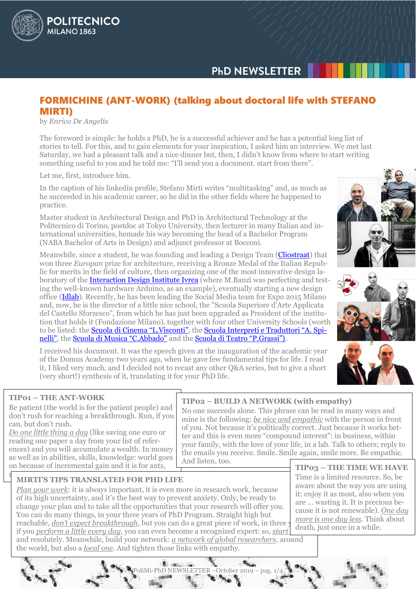# **PHD NEWSLETTER**

# FORMICHINE (ANT-WORK) (talking about doctoral life with STEFANO MIRTI)

by *Enrico De Angelis*

**POLITECNICO** 

**MILANO 1863** 

The foreword is simple: he holds a PhD, he is a successful achiever and he has a potential long list of stories to tell. For this, and to gain elements for your inspiration, I asked him an interview. We met last Saturday, we had a pleasant talk and a nice dinner but, then, I didn't know from where to start writing something useful to you and he told me: "I'll send you a document. start from there".

Let me, first, introduce him.

In the caption of his linkedin profile, Stefano Mirti writes "multitasking" and, as much as he succeeded in his academic career, so he did in the other fields where he happened to practice.

Master student in Architectural Design and PhD in Architectural Technology at the Politecnico di Torino, postdoc at Tokyo University, then lecturer in many Italian and international universities, hemade his way becoming the head of a Bachelor Program (NABA Bachelor of Arts in Design) and adjunct professor at Bocconi.

Meanwhile, since a student, he was founding and leading a Design Team [\(Cliostraat\)](http://www.cliostraat.com/) that won three *Europan* prize for architecture, receiving a Bronze Medal of the Italian Republic for merits in the field of culture, then organizing one of the most innovative design laboratory of the [Interaction Design Institute Ivrea](https://it.wikipedia.org/wiki/Interaction_Design_Institute_Ivrea) (where M.Banzi was perfecting and testing the well-known hardware Arduino, as an example), eventually starting a new design office [\(Idlab\)](http://www.idlabstudio.it/en). Recently, he has been leading the Social Media team for Expo 2015 Milano and, now, he is the director of a little nice school, the "Scuola Superiore d'Arte Applicata del Castello Sforzesco", from which he has just been upgraded as President of the institution that holds it (Fondazione Milano), together with four other University Schools (worth to be listed: the **[Scuola di Cinema "L](https://cinema.fondazionemilano.eu/english).Visconti"**, the **[Scuola Interpreti e Traduttori "A](https://lingue.fondazionemilano.eu/english). Spi**[nelli"](https://lingue.fondazionemilano.eu/english), the [Scuola di Musica "C](https://musica.fondazionemilano.eu/english).Abbado" and the [Scuola di Teatro "P](https://teatro.fondazionemilano.eu/english).Grassi").

I received his document. It was the speech given at the inauguration of the academic year of the Domus Academy two years ago, when he gave few fundamental tips for life. I read it, I liked very much, and I decided not to recast any other Q&A series, but to give a short (very short!) synthesis of it, translating it for your PhD life.

## **TIP01 – THE ANT-WORK**

Be patient (the world is for the patient people) and don't rush for reaching a breakthrough. Run, if you can, but don't rush.

*Do one little thing a day* (like saving one euro or reading one paper a day from your list of references) and you will accumulate a wealth. In money as well as in abilities, skills, knowledge: world goes on because of incremental gain and it is for ants,

#### **TIP02 – BUILD A NETWORK (with empathy)** No one succeeds alone. This phrase can be read in many ways and

mine is the following: *be nice and empathic* with the person in front of you. Not because it's politically correct. Just because it works better and this is even more "compound interest": in business, within your family, with the love of your life, in a lab. Talk to others; reply to the emails you receive. Smile. Smile again, smile more. Be empathic. And listen, too.

**TIP03 – THE TIME WE HAVE** Time is a limited resource. So, be aware about the way you are using it: enjoy it as most, also when you are … wasting it. It is precious because it is not renewable). *One day more is one day less*. Think about death, just once in a while.

## **MIRTI'S TIPS TRANSLATED FOR PHD LIFE**

*Plan your work*: it is always important, it is even more in research work, because of its high uncertainty, and it's the best way to prevent anxiety. Only, be ready to change your plan and to take all the opportunities that your research will offer you. You can do many things, in your three years of PhD Program. Straight high but reachable, *don't expect breakthrough*, but you can do a great piece of work, in three

if you *perform a little every day*, you can even become a recognized expert: so, *start* and resolutely. Meanwhile, build your network: *a network of global researchers*, around

the world, but also a *local one*. And tighten those links with empathy.





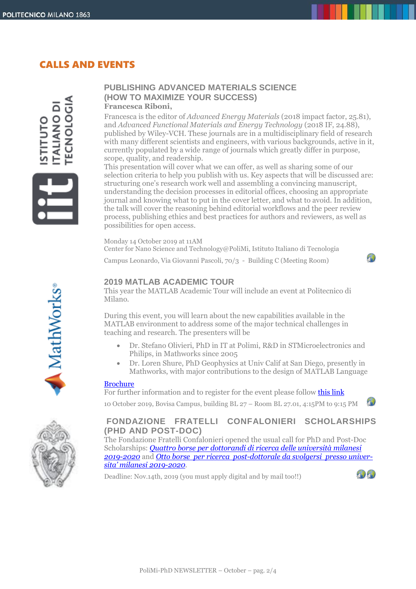# CALLS AND EVENTS

**OLOGIA** IANO DI

### **PUBLISHING ADVANCED MATERIALS SCIENCE (HOW TO MAXIMIZE YOUR SUCCESS) Francesca Riboni,**

Francesca is the editor of *Advanced Energy Materials* (2018 impact factor, 25.81), and *Advanced Functional Materials and Energy Technology* (2018 IF, 24.88), published by Wiley-VCH. These journals are in a multidisciplinary field of research with many different scientists and engineers, with various backgrounds, active in it, currently populated by a wide range of journals which greatly differ in purpose, scope, quality, and readership.

This presentation will cover what we can offer, as well as sharing some of our selection criteria to help you publish with us. Key aspects that will be discussed are: structuring one's research work well and assembling a convincing manuscript, understanding the decision processes in editorial offices, choosing an appropriate journal and knowing what to put in the cover letter, and what to avoid. In addition, the talk will cover the reasoning behind editorial workflows and the peer review process, publishing ethics and best practices for authors and reviewers, as well as possibilities for open access.

Monday 14 October 2019 at 11AM Center for Nano Science and Technology@PoliMi, Istituto Italiano di Tecnologia Campus Leonardo, Via Giovanni Pascoli, 70/3 - Building C (Meeting Room)

# **2019 MATLAB ACADEMIC TOUR**

This year the MATLAB Academic Tour will include an event at Politecnico di Milano.

During this event, you will learn about the new capabilities available in the MATLAB environment to address some of the major technical challenges in teaching and research. The presenters will be

- Dr. Stefano Olivieri, PhD in IT at Polimi, R&D in STMicroelectronics and Philips, in Mathworks since 2005
- Dr. Loren Shure, PhD Geophysics at Univ Calif at San Diego, presently in Mathworks, with major contributions to the design of MATLAB Language

#### [Brochure](http://www.dottorato.polimi.it/uploads/media/Poster_UDS_PoliMI_01.pdf)

For further information and to register for the event please follo[w this link](https://it.mathworks.com/company/events/seminars/IT-Academic-Tour-Loren-Shure-2019.html)

10 October 2019, Bovisa Campus, building BL 27 – Room BL 27.01, 4:15PM to 9:15 PM

# **FONDAZIONE FRATELLI CONFALONIERI SCHOLARSHIPS (PHD AND POST-DOC)**

The Fondazione Fratelli Confalonieri opened the usual call for PhD and Post-Doc Scholarships: *[Quattro borse per dottorandi di ricerca delle università milanesi](http://www.dottorato.polimi.it/fileadmin/files/dottorato/newsletter/allegati/2019_10/Confalonieri_Bando_Dottorandi_2019-2020.pdf)  [2019-2020](http://www.dottorato.polimi.it/fileadmin/files/dottorato/newsletter/allegati/2019_10/Confalonieri_Bando_Dottorandi_2019-2020.pdf)* and *[Otto borse per ricerca post-dottorale da svolgersi presso univer](http://www.dottorato.polimi.it/fileadmin/files/dottorato/newsletter/allegati/2019_10/Confalonieri_Bando_Post-Doc_2019-2020.pdf)[sita' milanesi 201](http://www.dottorato.polimi.it/fileadmin/files/dottorato/newsletter/allegati/2019_10/Confalonieri_Bando_Post-Doc_2019-2020.pdf)9-2020*.

Deadline: Nov.14th, 2019 (you must apply digital and by mail too!!)



 $10$ 



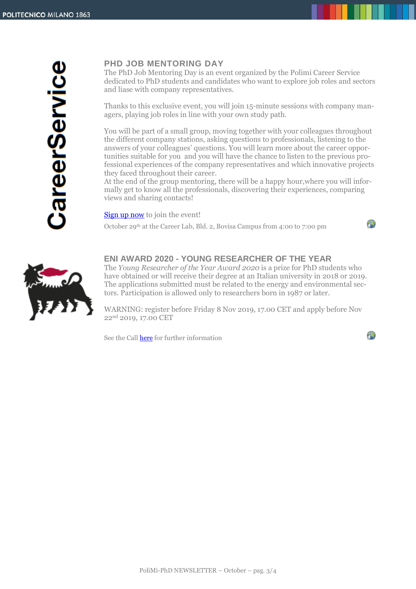CareerService

# **PHD JOB MENTORING DAY**

The PhD Job Mentoring Day is an event organized by the Polimi Career Service dedicated to PhD students and candidates who want to explore job roles and sectors and liase with company representatives.

Thanks to this exclusive event, you will join 15-minute sessions with company managers, playing job roles in line with your own study path.

You will be part of a small group, moving together with your colleagues throughout the different company stations, asking questions to professionals, listening to the answers of your colleagues' questions. You will learn more about the career opportunities suitable for you and you will have the chance to listen to the previous professional experiences of the company representatives and which innovative projects they faced throughout their career.

At the end of the group mentoring, there will be a happy hour,where you will informally get to know all the professionals, discovering their experiences, comparing views and sharing contacts!

[Sign up now](http://www.careerservice.polimi.it/en-US/Meetings/Home/Index/?eventId=17465) to join the event!

October 29th at the Career Lab, Bld. 2, Bovisa Campus from 4:00 to 7:00 pm

## $\mathcal{P}$

 $\sqrt{2}$ 



## **ENI AWARD 2020 - YOUNG RESEARCHER OF THE YEAR**

The *Young Researcher of the Year Award 2020* is a prize for PhD students who have obtained or will receive their degree at an Italian university in 2018 or 2019. The applications submitted must be related to the energy and environmental sectors. Participation is allowed only to researchers born in 1987 or later.

WARNING: register before Friday 8 Nov 2019, 17.00 CET and apply before Nov 22<sup>nd</sup> 2019, 17.00 CET

See the Call [here](http://customer43686.musvc2.net/e/t?q=4%3dHa8YJ%26J%3d4W%262%3dZ9SF%26M%3d9WLZA%26L%3dvRvG7_PStd_ac_Ie1R_St_PStd_ZhNAU.gEw.AqD_6yUq_FDgEwNg5w9_trgx_47wR_Ku_6yUq_FDoFrCnC3-Bk2o9c-39QkEsQu_Ie1R_StNt61G-g-IwAqE3Qe01CpKw_PStd_Zh3oLfF-sLk-2A9t5-Fh4a.49i6%26r%3dKwJ0A4.EsR%26kJ%3dIg6X) for further information